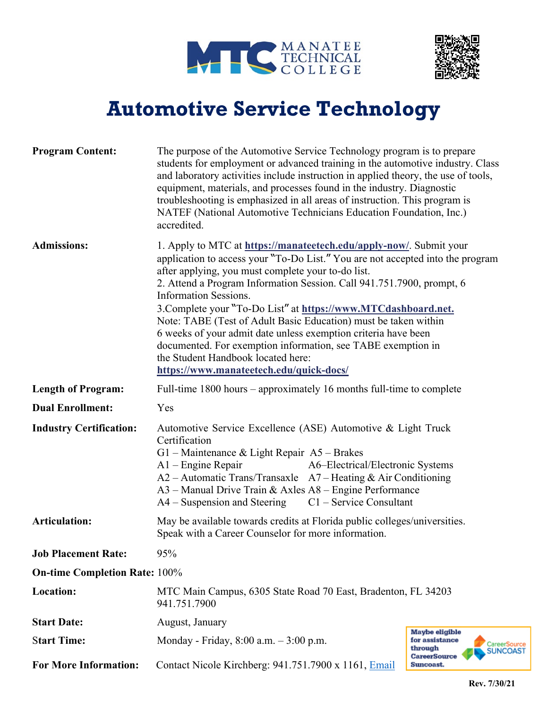



## **Automotive Service Technology**

| <b>Program Content:</b>              | The purpose of the Automotive Service Technology program is to prepare<br>students for employment or advanced training in the automotive industry. Class<br>and laboratory activities include instruction in applied theory, the use of tools,<br>equipment, materials, and processes found in the industry. Diagnostic<br>troubleshooting is emphasized in all areas of instruction. This program is<br>NATEF (National Automotive Technicians Education Foundation, Inc.)<br>accredited.                                                                                                                                                                                  |                                                                                                       |  |
|--------------------------------------|-----------------------------------------------------------------------------------------------------------------------------------------------------------------------------------------------------------------------------------------------------------------------------------------------------------------------------------------------------------------------------------------------------------------------------------------------------------------------------------------------------------------------------------------------------------------------------------------------------------------------------------------------------------------------------|-------------------------------------------------------------------------------------------------------|--|
| <b>Admissions:</b>                   | 1. Apply to MTC at https://manatectech.edu/apply-now/. Submit your<br>application to access your "To-Do List." You are not accepted into the program<br>after applying, you must complete your to-do list.<br>2. Attend a Program Information Session. Call 941.751.7900, prompt, 6<br><b>Information Sessions.</b><br>3. Complete your "To-Do List" at https://www.MTCdashboard.net.<br>Note: TABE (Test of Adult Basic Education) must be taken within<br>6 weeks of your admit date unless exemption criteria have been<br>documented. For exemption information, see TABE exemption in<br>the Student Handbook located here:<br>https://www.manateetech.edu/quick-docs/ |                                                                                                       |  |
| <b>Length of Program:</b>            | Full-time $1800$ hours – approximately 16 months full-time to complete                                                                                                                                                                                                                                                                                                                                                                                                                                                                                                                                                                                                      |                                                                                                       |  |
| <b>Dual Enrollment:</b>              | Yes                                                                                                                                                                                                                                                                                                                                                                                                                                                                                                                                                                                                                                                                         |                                                                                                       |  |
| <b>Industry Certification:</b>       | Automotive Service Excellence (ASE) Automotive & Light Truck<br>Certification<br>G1 – Maintenance & Light Repair A5 – Brakes<br>$A1$ – Engine Repair<br>A6-Electrical/Electronic Systems<br>$A2 -$ Automatic Trans/Transaxle $A7 -$ Heating & Air Conditioning<br>A3 - Manual Drive Train & Axles A8 - Engine Performance<br>$A4 -$ Suspension and Steering<br>$C1$ – Service Consultant                                                                                                                                                                                                                                                                                    |                                                                                                       |  |
| <b>Articulation:</b>                 | May be available towards credits at Florida public colleges/universities.<br>Speak with a Career Counselor for more information.                                                                                                                                                                                                                                                                                                                                                                                                                                                                                                                                            |                                                                                                       |  |
| <b>Job Placement Rate:</b>           | 95%                                                                                                                                                                                                                                                                                                                                                                                                                                                                                                                                                                                                                                                                         |                                                                                                       |  |
| <b>On-time Completion Rate: 100%</b> |                                                                                                                                                                                                                                                                                                                                                                                                                                                                                                                                                                                                                                                                             |                                                                                                       |  |
| <b>Location:</b>                     | MTC Main Campus, 6305 State Road 70 East, Bradenton, FL 34203<br>941.751.7900                                                                                                                                                                                                                                                                                                                                                                                                                                                                                                                                                                                               |                                                                                                       |  |
| <b>Start Date:</b>                   | August, January                                                                                                                                                                                                                                                                                                                                                                                                                                                                                                                                                                                                                                                             |                                                                                                       |  |
| <b>Start Time:</b>                   | Monday - Friday, $8:00$ a.m. $-3:00$ p.m.                                                                                                                                                                                                                                                                                                                                                                                                                                                                                                                                                                                                                                   | Maybe eligible<br>for assistance<br>CareerSource<br>through<br><b>SUNCOAST</b><br><b>CareerSource</b> |  |
| <b>For More Information:</b>         | Contact Nicole Kirchberg: 941.751.7900 x 1161, Email                                                                                                                                                                                                                                                                                                                                                                                                                                                                                                                                                                                                                        | Suncoast.                                                                                             |  |